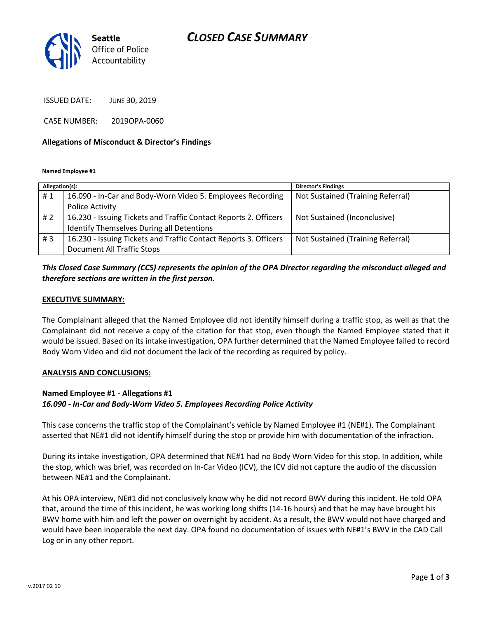# *CLOSED CASE SUMMARY*



ISSUED DATE: JUNE 30, 2019

CASE NUMBER: 2019OPA-0060

#### **Allegations of Misconduct & Director's Findings**

**Named Employee #1**

| Allegation(s): |                                                                  | Director's Findings               |
|----------------|------------------------------------------------------------------|-----------------------------------|
| #1             | 16.090 - In-Car and Body-Worn Video 5. Employees Recording       | Not Sustained (Training Referral) |
|                | <b>Police Activity</b>                                           |                                   |
| # 2            | 16.230 - Issuing Tickets and Traffic Contact Reports 2. Officers | Not Sustained (Inconclusive)      |
|                | Identify Themselves During all Detentions                        |                                   |
| #3             | 16.230 - Issuing Tickets and Traffic Contact Reports 3. Officers | Not Sustained (Training Referral) |
|                | Document All Traffic Stops                                       |                                   |

## *This Closed Case Summary (CCS) represents the opinion of the OPA Director regarding the misconduct alleged and therefore sections are written in the first person.*

#### **EXECUTIVE SUMMARY:**

The Complainant alleged that the Named Employee did not identify himself during a traffic stop, as well as that the Complainant did not receive a copy of the citation for that stop, even though the Named Employee stated that it would be issued. Based on its intake investigation, OPA further determined that the Named Employee failed to record Body Worn Video and did not document the lack of the recording as required by policy.

#### **ANALYSIS AND CONCLUSIONS:**

### **Named Employee #1 - Allegations #1** *16.090 - In-Car and Body-Worn Video 5. Employees Recording Police Activity*

This case concerns the traffic stop of the Complainant's vehicle by Named Employee #1 (NE#1). The Complainant asserted that NE#1 did not identify himself during the stop or provide him with documentation of the infraction.

During its intake investigation, OPA determined that NE#1 had no Body Worn Video for this stop. In addition, while the stop, which was brief, was recorded on In-Car Video (ICV), the ICV did not capture the audio of the discussion between NE#1 and the Complainant.

At his OPA interview, NE#1 did not conclusively know why he did not record BWV during this incident. He told OPA that, around the time of this incident, he was working long shifts (14-16 hours) and that he may have brought his BWV home with him and left the power on overnight by accident. As a result, the BWV would not have charged and would have been inoperable the next day. OPA found no documentation of issues with NE#1's BWV in the CAD Call Log or in any other report.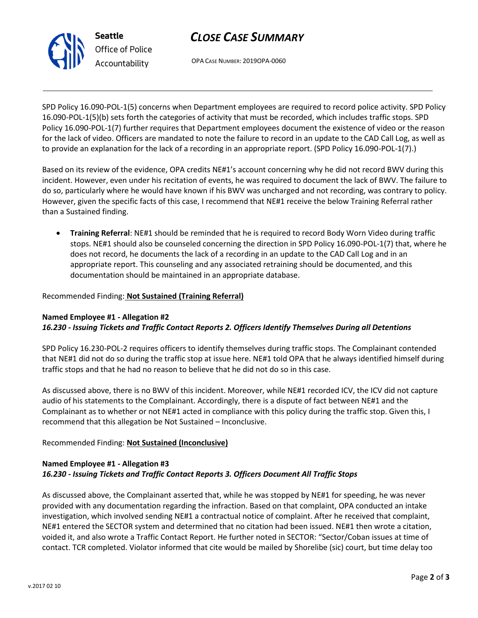

OPA CASE NUMBER: 2019OPA-0060

SPD Policy 16.090-POL-1(5) concerns when Department employees are required to record police activity. SPD Policy 16.090-POL-1(5)(b) sets forth the categories of activity that must be recorded, which includes traffic stops. SPD Policy 16.090-POL-1(7) further requires that Department employees document the existence of video or the reason for the lack of video. Officers are mandated to note the failure to record in an update to the CAD Call Log, as well as to provide an explanation for the lack of a recording in an appropriate report. (SPD Policy 16.090-POL-1(7).)

Based on its review of the evidence, OPA credits NE#1's account concerning why he did not record BWV during this incident. However, even under his recitation of events, he was required to document the lack of BWV. The failure to do so, particularly where he would have known if his BWV was uncharged and not recording, was contrary to policy. However, given the specific facts of this case, I recommend that NE#1 receive the below Training Referral rather than a Sustained finding.

• **Training Referral**: NE#1 should be reminded that he is required to record Body Worn Video during traffic stops. NE#1 should also be counseled concerning the direction in SPD Policy 16.090-POL-1(7) that, where he does not record, he documents the lack of a recording in an update to the CAD Call Log and in an appropriate report. This counseling and any associated retraining should be documented, and this documentation should be maintained in an appropriate database.

## Recommended Finding: **Not Sustained (Training Referral)**

### **Named Employee #1 - Allegation #2** *16.230 - Issuing Tickets and Traffic Contact Reports 2. Officers Identify Themselves During all Detentions*

SPD Policy 16.230-POL-2 requires officers to identify themselves during traffic stops. The Complainant contended that NE#1 did not do so during the traffic stop at issue here. NE#1 told OPA that he always identified himself during traffic stops and that he had no reason to believe that he did not do so in this case.

As discussed above, there is no BWV of this incident. Moreover, while NE#1 recorded ICV, the ICV did not capture audio of his statements to the Complainant. Accordingly, there is a dispute of fact between NE#1 and the Complainant as to whether or not NE#1 acted in compliance with this policy during the traffic stop. Given this, I recommend that this allegation be Not Sustained – Inconclusive.

## Recommended Finding: **Not Sustained (Inconclusive)**

## **Named Employee #1 - Allegation #3** *16.230 - Issuing Tickets and Traffic Contact Reports 3. Officers Document All Traffic Stops*

As discussed above, the Complainant asserted that, while he was stopped by NE#1 for speeding, he was never provided with any documentation regarding the infraction. Based on that complaint, OPA conducted an intake investigation, which involved sending NE#1 a contractual notice of complaint. After he received that complaint, NE#1 entered the SECTOR system and determined that no citation had been issued. NE#1 then wrote a citation, voided it, and also wrote a Traffic Contact Report. He further noted in SECTOR: "Sector/Coban issues at time of contact. TCR completed. Violator informed that cite would be mailed by Shorelibe (sic) court, but time delay too